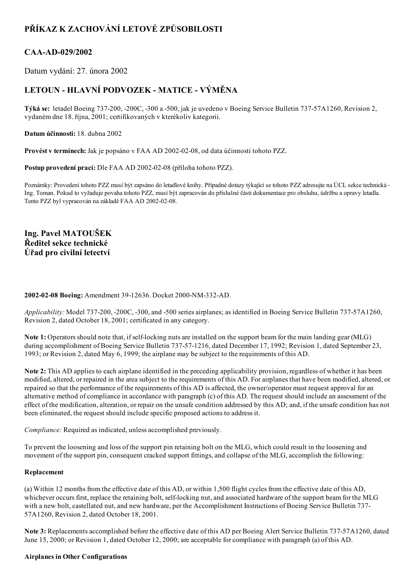# PŘÍKAZ K ZACHOVÁNÍ LETOVÉ ZPŮSOBILOSTI

## CAA-AD-029/2002

Datum vydání: 27. února 2002

## LETOUN - HLAVNÍ PODVOZEK - MATICE - VÝMĚNA

Týká se: letadel Boeing 737200, 200C, 300 a 500, jak je uvedeno v Boeing Service Bulletin 73757A1260, Revision 2, vydaném dne 18. října, 2001; certifikovaných v kterékoliv kategorii.

Datum účinnosti: 18. dubna 2002

Provést v termínech: Jak je popsáno v FAA AD 2002-02-08, od data účinnosti tohoto PZZ.

Postup provedení prací: Dle FAA AD 2002-02-08 (příloha tohoto PZZ).

Poznámky: Provedení tohoto PZZ musí být zapsáno do letadlové knihy. Případné dotazy týkající se tohoto PZZ adresujte na ÚCL sekce technická Ing. Toman. Pokud to vyžaduje povaha tohoto PZZ, musí být zapracován do příslušné části dokumentace pro obsluhu, údržbu a opravy letadla. Tento PZZ byl vypracován na základě FAA AD 2002-02-08.

Ing. Pavel MATOUŠEK Ředitel sekce technické Úřad pro civilní letectví

### 2002-02-08 Boeing: Amendment 39-12636. Docket 2000-NM-332-AD.

Applicability: Model 737-200, -200C, -300, and -500 series airplanes; as identified in Boeing Service Bulletin 737-57A1260, Revision 2, dated October 18, 2001; certificated in any category.

Note 1: Operators should note that, if self-locking nuts are installed on the support beam for the main landing gear (MLG) during accomplishment of Boeing Service Bulletin 737-57-1216, dated December 17, 1992; Revision 1, dated September 23, 1993; or Revision 2, dated May 6, 1999; the airplane may be subject to the requirements of this AD.

Note 2: This AD applies to each airplane identified in the preceding applicability provision, regardless of whether it has been modified, altered, or repaired in the area subject to the requirements of this AD. For airplanes that have been modified, altered, or repaired so that the performance of the requirements of this AD is affected, the owner/operator must request approval for an alternative method of compliance in accordance with paragraph (c) of this AD. The request should include an assessment of the effect of the modification, alteration, or repair on the unsafe condition addressed by this AD; and, if the unsafe condition has not been eliminated, the request should include specific proposed actions to address it.

Compliance: Required as indicated, unless accomplished previously.

To prevent the loosening and loss of the support pin retaining bolt on the MLG, which could result in the loosening and movement of the support pin, consequent cracked support fittings, and collapse of the MLG, accomplish the following:

#### Replacement

(a) Within 12 months from the effective date of this AD, or within 1,500 flight cycles from the effective date of this AD, whichever occurs first, replace the retaining bolt, self-locking nut, and associated hardware of the support beam for the MLG with a new bolt, castellated nut, and new hardware, per the Accomplishment Instructions of Boeing Service Bulletin 737-57A1260, Revision 2, dated October 18, 2001.

Note 3: Replacements accomplished before the effective date of this AD per Boeing Alert Service Bulletin 737-57A1260, dated June 15, 2000; or Revision 1, dated October 12, 2000; are acceptable for compliance with paragraph (a) of this AD.

#### Airplanes in Other Configurations